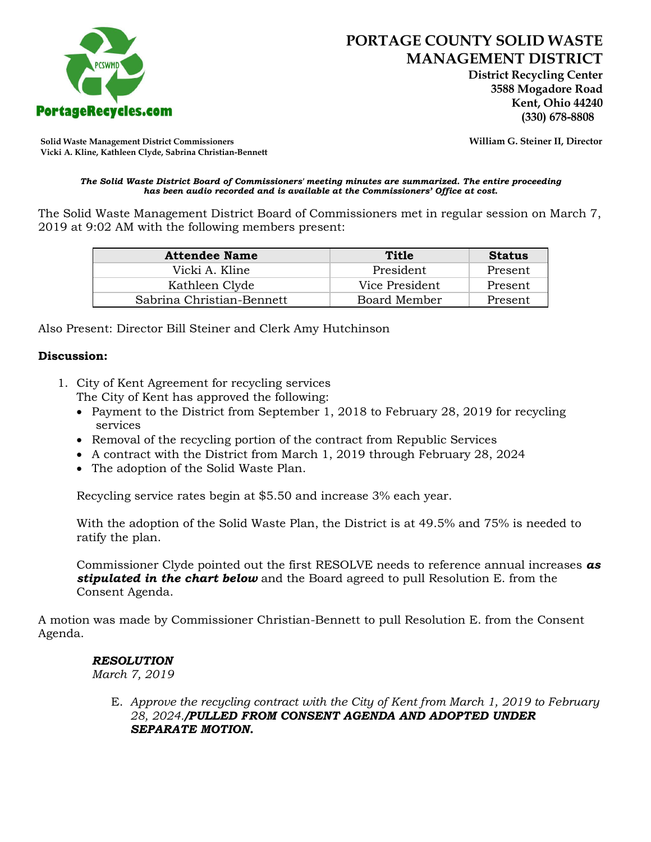

 **District Recycling Center 3588 Mogadore Road Kent, Ohio 44240**

**Solid Waste Management District Commissioners William G. Steiner II, Director Vicki A. Kline, Kathleen Clyde, Sabrina Christian-Bennett** 

#### *The Solid Waste District Board of Commissioners' meeting minutes are summarized. The entire proceeding has been audio recorded and is available at the Commissioners' Office at cost.*

The Solid Waste Management District Board of Commissioners met in regular session on March 7, 2019 at 9:02 AM with the following members present:

| <b>Attendee Name</b>      | Title          | <b>Status</b> |
|---------------------------|----------------|---------------|
| Vicki A. Kline            | President      | Present       |
| Kathleen Clyde            | Vice President | Present       |
| Sabrina Christian-Bennett | Board Member   | Present       |

Also Present: Director Bill Steiner and Clerk Amy Hutchinson

### **Discussion:**

- 1. City of Kent Agreement for recycling services The City of Kent has approved the following:
	- Payment to the District from September 1, 2018 to February 28, 2019 for recycling services
	- Removal of the recycling portion of the contract from Republic Services
	- A contract with the District from March 1, 2019 through February 28, 2024
	- The adoption of the Solid Waste Plan.

Recycling service rates begin at \$5.50 and increase 3% each year.

With the adoption of the Solid Waste Plan, the District is at 49.5% and 75% is needed to ratify the plan.

Commissioner Clyde pointed out the first RESOLVE needs to reference annual increases *as stipulated in the chart below* and the Board agreed to pull Resolution E. from the Consent Agenda.

A motion was made by Commissioner Christian-Bennett to pull Resolution E. from the Consent Agenda.

### *RESOLUTION*

*March 7, 2019*

E. *Approve the recycling contract with the City of Kent from March 1, 2019 to February 28, 2024./PULLED FROM CONSENT AGENDA AND ADOPTED UNDER SEPARATE MOTION.*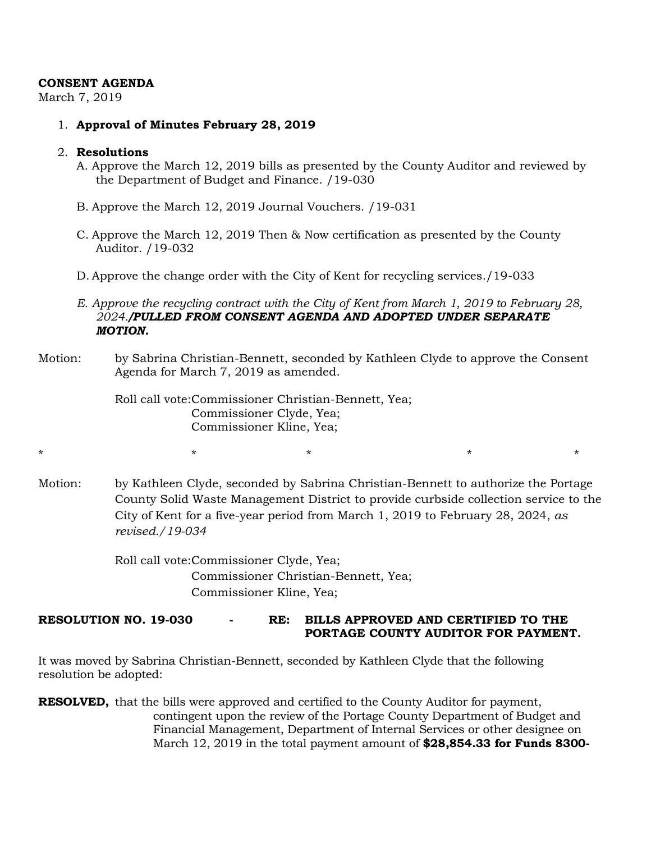## **CONSENT AGENDA**

March 7, 2019

1. **Approval of Minutes February 28, 2019**

## 2. **Resolutions**

- A. Approve the March 12, 2019 bills as presented by the County Auditor and reviewed by the Department of Budget and Finance. /19-030
- B. Approve the March 12, 2019 Journal Vouchers. /19-031
- C. Approve the March 12, 2019 Then & Now certification as presented by the County Auditor. /19-032
- D. Approve the change order with the City of Kent for recycling services./19-033
- *E. Approve the recycling contract with the City of Kent from March 1, 2019 to February 28, 2024./PULLED FROM CONSENT AGENDA AND ADOPTED UNDER SEPARATE MOTION.*
- Motion: by Sabrina Christian-Bennett, seconded by Kathleen Clyde to approve the Consent Agenda for March 7, 2019 as amended.

Roll call vote:Commissioner Christian-Bennett, Yea; Commissioner Clyde, Yea; Commissioner Kline, Yea;

Motion: by Kathleen Clyde, seconded by Sabrina Christian-Bennett to authorize the Portage County Solid Waste Management District to provide curbside collection service to the City of Kent for a five-year period from March 1, 2019 to February 28, 2024, *as revised./19-034*

\* \* \* \* \*

Roll call vote:Commissioner Clyde, Yea; Commissioner Christian-Bennett, Yea; Commissioner Kline, Yea;

# **RESOLUTION NO. 19-030 - RE: BILLS APPROVED AND CERTIFIED TO THE PORTAGE COUNTY AUDITOR FOR PAYMENT.**

It was moved by Sabrina Christian-Bennett, seconded by Kathleen Clyde that the following resolution be adopted:

**RESOLVED,** that the bills were approved and certified to the County Auditor for payment, contingent upon the review of the Portage County Department of Budget and Financial Management, Department of Internal Services or other designee on March 12, 2019 in the total payment amount of **\$28,854.33 for Funds 8300-**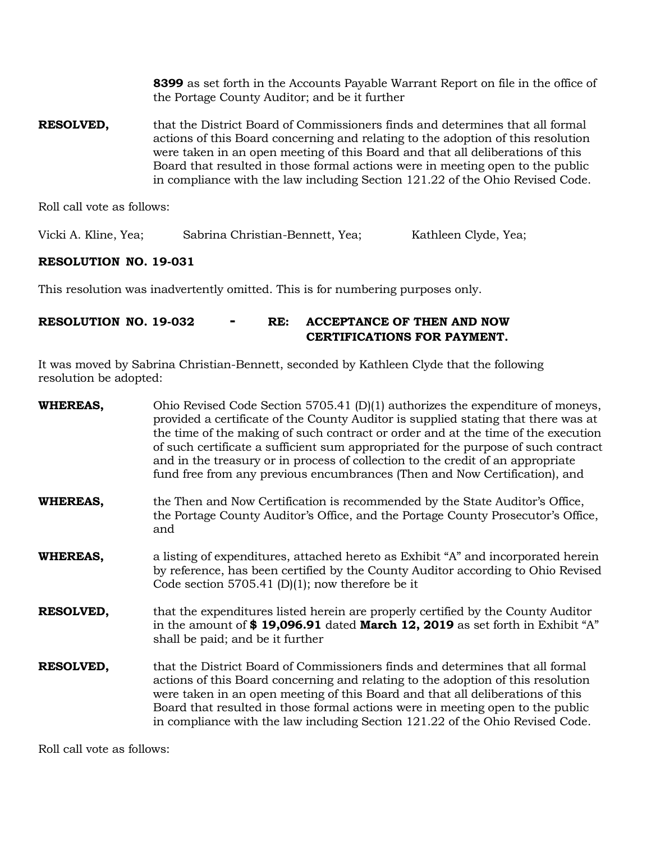**8399** as set forth in the Accounts Payable Warrant Report on file in the office of the Portage County Auditor; and be it further

**RESOLVED,** that the District Board of Commissioners finds and determines that all formal actions of this Board concerning and relating to the adoption of this resolution were taken in an open meeting of this Board and that all deliberations of this Board that resulted in those formal actions were in meeting open to the public in compliance with the law including Section 121.22 of the Ohio Revised Code.

Roll call vote as follows:

Vicki A. Kline, Yea; Sabrina Christian-Bennett, Yea; Kathleen Clyde, Yea;

## **RESOLUTION NO. 19-031**

This resolution was inadvertently omitted. This is for numbering purposes only.

# **RESOLUTION NO. 19-032 - RE: ACCEPTANCE OF THEN AND NOW CERTIFICATIONS FOR PAYMENT.**

It was moved by Sabrina Christian-Bennett, seconded by Kathleen Clyde that the following resolution be adopted:

| <b>WHEREAS,</b>  | Ohio Revised Code Section 5705.41 $(D)(1)$ authorizes the expenditure of moneys,<br>provided a certificate of the County Auditor is supplied stating that there was at<br>the time of the making of such contract or order and at the time of the execution<br>of such certificate a sufficient sum appropriated for the purpose of such contract<br>and in the treasury or in process of collection to the credit of an appropriate<br>fund free from any previous encumbrances (Then and Now Certification), and |
|------------------|--------------------------------------------------------------------------------------------------------------------------------------------------------------------------------------------------------------------------------------------------------------------------------------------------------------------------------------------------------------------------------------------------------------------------------------------------------------------------------------------------------------------|
| <b>WHEREAS,</b>  | the Then and Now Certification is recommended by the State Auditor's Office,<br>the Portage County Auditor's Office, and the Portage County Prosecutor's Office,<br>and                                                                                                                                                                                                                                                                                                                                            |
| <b>WHEREAS,</b>  | a listing of expenditures, attached hereto as Exhibit "A" and incorporated herein<br>by reference, has been certified by the County Auditor according to Ohio Revised<br>Code section 5705.41 (D)(1); now therefore be it                                                                                                                                                                                                                                                                                          |
| <b>RESOLVED,</b> | that the expenditures listed herein are properly certified by the County Auditor<br>in the amount of $$19,096.91$ dated <b>March 12, 2019</b> as set forth in Exhibit "A"<br>shall be paid; and be it further                                                                                                                                                                                                                                                                                                      |
| RESOLVED,        | that the District Board of Commissioners finds and determines that all formal<br>actions of this Board concerning and relating to the adoption of this resolution<br>were taken in an open meeting of this Board and that all deliberations of this<br>Board that resulted in those formal actions were in meeting open to the public<br>in compliance with the law including Section 121.22 of the Ohio Revised Code.                                                                                             |

Roll call vote as follows: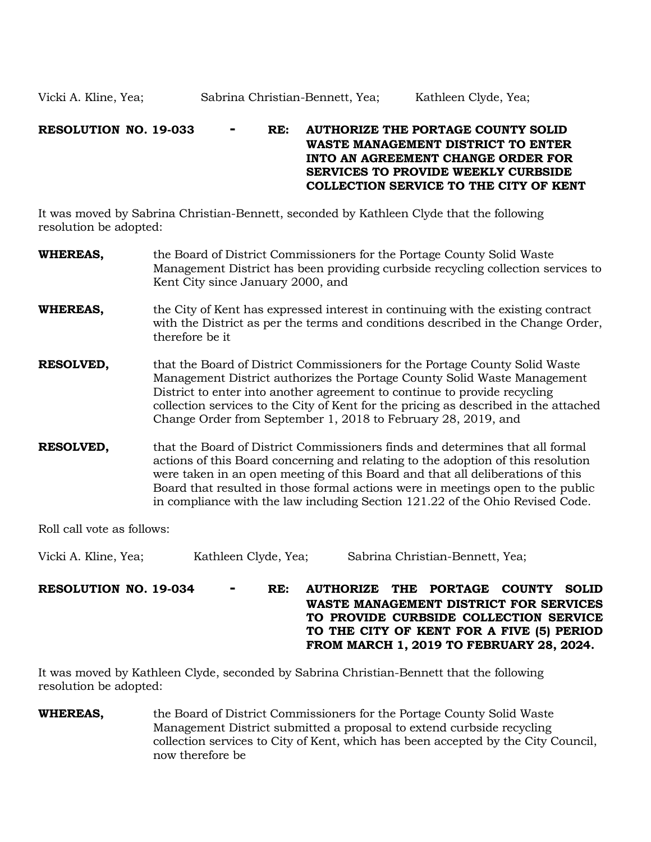# **RESOLUTION NO. 19-033 - RE: AUTHORIZE THE PORTAGE COUNTY SOLID WASTE MANAGEMENT DISTRICT TO ENTER INTO AN AGREEMENT CHANGE ORDER FOR SERVICES TO PROVIDE WEEKLY CURBSIDE COLLECTION SERVICE TO THE CITY OF KENT**

It was moved by Sabrina Christian-Bennett, seconded by Kathleen Clyde that the following resolution be adopted:

| <b>WHEREAS,</b>  | the Board of District Commissioners for the Portage County Solid Waste<br>Management District has been providing curbside recycling collection services to<br>Kent City since January 2000, and                                                                                                                                                                                                                         |
|------------------|-------------------------------------------------------------------------------------------------------------------------------------------------------------------------------------------------------------------------------------------------------------------------------------------------------------------------------------------------------------------------------------------------------------------------|
| <b>WHEREAS,</b>  | the City of Kent has expressed interest in continuing with the existing contract<br>with the District as per the terms and conditions described in the Change Order,<br>therefore be it                                                                                                                                                                                                                                 |
| <b>RESOLVED,</b> | that the Board of District Commissioners for the Portage County Solid Waste<br>Management District authorizes the Portage County Solid Waste Management<br>District to enter into another agreement to continue to provide recycling<br>collection services to the City of Kent for the pricing as described in the attached<br>Change Order from September 1, 2018 to February 28, 2019, and                           |
| <b>RESOLVED,</b> | that the Board of District Commissioners finds and determines that all formal<br>actions of this Board concerning and relating to the adoption of this resolution<br>were taken in an open meeting of this Board and that all deliberations of this<br>Board that resulted in those formal actions were in meetings open to the public<br>in compliance with the law including Section 121.22 of the Ohio Revised Code. |

Roll call vote as follows:

Vicki A. Kline, Yea; Kathleen Clyde, Yea; Sabrina Christian-Bennett, Yea;

**RESOLUTION NO. 19-034 - RE: AUTHORIZE THE PORTAGE COUNTY SOLID WASTE MANAGEMENT DISTRICT FOR SERVICES TO PROVIDE CURBSIDE COLLECTION SERVICE TO THE CITY OF KENT FOR A FIVE (5) PERIOD FROM MARCH 1, 2019 TO FEBRUARY 28, 2024.**

It was moved by Kathleen Clyde, seconded by Sabrina Christian-Bennett that the following resolution be adopted:

**WHEREAS,** the Board of District Commissioners for the Portage County Solid Waste Management District submitted a proposal to extend curbside recycling collection services to City of Kent, which has been accepted by the City Council, now therefore be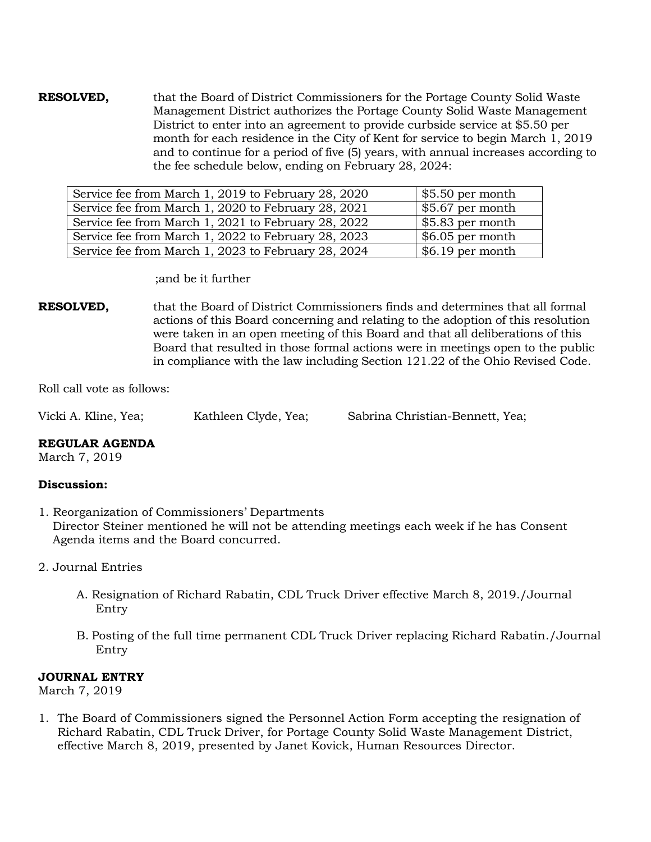**RESOLVED,** that the Board of District Commissioners for the Portage County Solid Waste Management District authorizes the Portage County Solid Waste Management District to enter into an agreement to provide curbside service at \$5.50 per month for each residence in the City of Kent for service to begin March 1, 2019 and to continue for a period of five (5) years, with annual increases according to the fee schedule below, ending on February 28, 2024:

| Service fee from March 1, 2019 to February 28, 2020 | $\frac{1}{2}$ \$5.50 per month |
|-----------------------------------------------------|--------------------------------|
| Service fee from March 1, 2020 to February 28, 2021 | $\frac{1}{2}$ \$5.67 per month |
| Service fee from March 1, 2021 to February 28, 2022 | $\frac{1}{2}$ \$5.83 per month |
| Service fee from March 1, 2022 to February 28, 2023 | $\frac{1}{2}$ \$6.05 per month |
| Service fee from March 1, 2023 to February 28, 2024 | $$6.19$ per month              |

;and be it further

**RESOLVED,** that the Board of District Commissioners finds and determines that all formal actions of this Board concerning and relating to the adoption of this resolution were taken in an open meeting of this Board and that all deliberations of this Board that resulted in those formal actions were in meetings open to the public in compliance with the law including Section 121.22 of the Ohio Revised Code.

Roll call vote as follows:

|  | Vicki A. Kline, Yea; | Kathleen Clyde, Yea; | Sabrina Christian-Bennett, Yea; |
|--|----------------------|----------------------|---------------------------------|
|--|----------------------|----------------------|---------------------------------|

### **REGULAR AGENDA**

March 7, 2019

# **Discussion:**

- 1. Reorganization of Commissioners' Departments Director Steiner mentioned he will not be attending meetings each week if he has Consent Agenda items and the Board concurred.
- 2. Journal Entries
	- A. Resignation of Richard Rabatin, CDL Truck Driver effective March 8, 2019./Journal Entry
	- B. Posting of the full time permanent CDL Truck Driver replacing Richard Rabatin./Journal Entry

### **JOURNAL ENTRY**

March 7, 2019

1. The Board of Commissioners signed the Personnel Action Form accepting the resignation of Richard Rabatin, CDL Truck Driver, for Portage County Solid Waste Management District, effective March 8, 2019, presented by Janet Kovick, Human Resources Director.